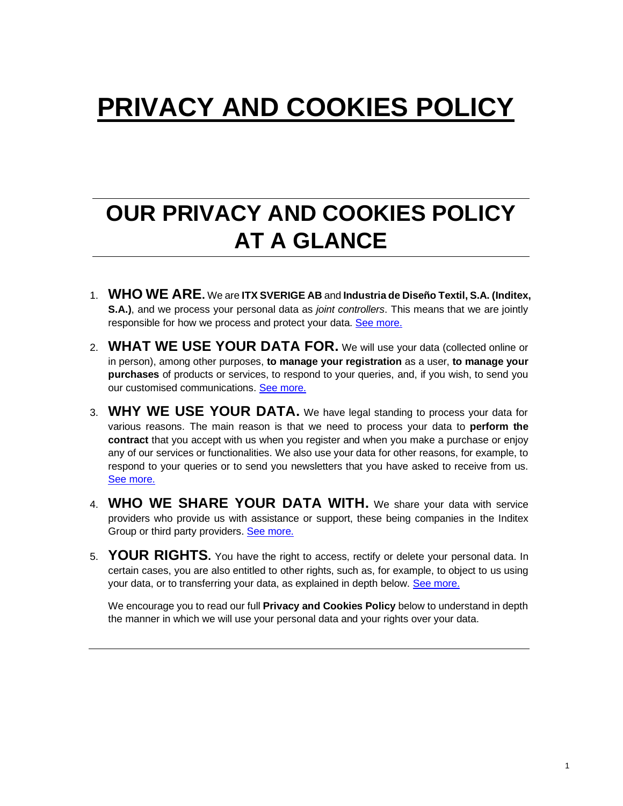# **PRIVACY AND COOKIES POLICY**

## **OUR PRIVACY AND COOKIES POLICY AT A GLANCE**

- 1. **WHO WE ARE.** We are **ITX SVERIGE AB** and **Industria de Diseño Textil, S.A. (Inditex, S.A.)**, and we process your personal data as *joint controllers*. This means that we are jointly responsible for how we process and protect your data. [See more.](#page-1-0)
- 2. **WHAT WE USE YOUR DATA FOR.** We will use your data (collected online or in person), among other purposes, **to manage your registration** as a user, **to manage your purchases** of products or services, to respond to your queries, and, if you wish, to send you our customised communications[. See more.](#page-2-0)
- 3. **WHY WE USE YOUR DATA.** We have legal standing to process your data for various reasons. The main reason is that we need to process your data to **perform the contract** that you accept with us when you register and when you make a purchase or enjoy any of our services or functionalities. We also use your data for other reasons, for example, to respond to your queries or to send you newsletters that you have asked to receive from us. [See more.](#page-6-0)
- 4. **WHO WE SHARE YOUR DATA WITH.** We share your data with service providers who provide us with assistance or support, these being companies in the Inditex Group or third party providers[. See more.](#page-8-0)
- 5. **YOUR RIGHTS.** You have the right to access, rectify or delete your personal data. In certain cases, you are also entitled to other rights, such as, for example, to object to us using your data, or to transferring your data, as explained in depth below. [See more.](#page-9-0)

We encourage you to read our full **Privacy and Cookies Policy** below to understand in depth the manner in which we will use your personal data and your rights over your data.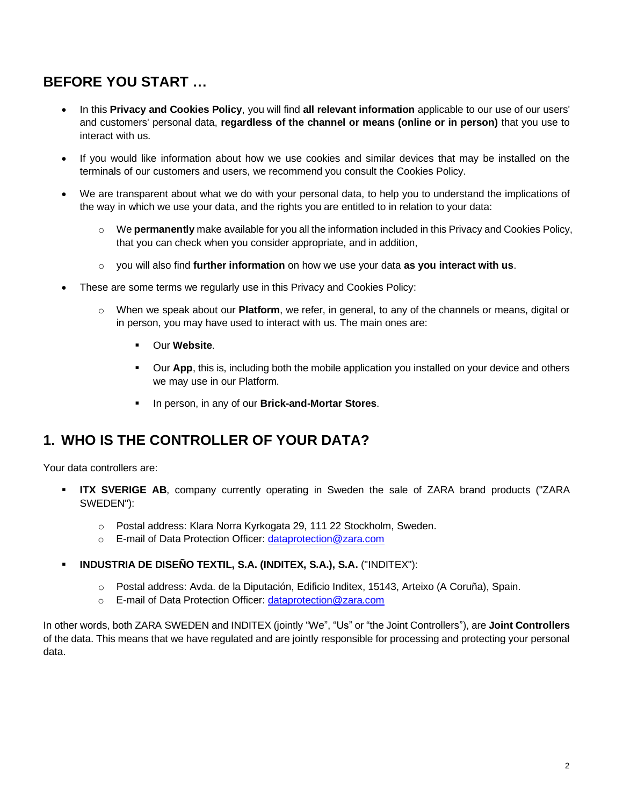### **BEFORE YOU START …**

- In this **Privacy and Cookies Policy**, you will find **all relevant information** applicable to our use of our users' and customers' personal data, **regardless of the channel or means (online or in person)** that you use to interact with us.
- If you would like information about how we use cookies and similar devices that may be installed on the terminals of our customers and users, we recommend you consult the Cookies Policy.
- We are transparent about what we do with your personal data, to help you to understand the implications of the way in which we use your data, and the rights you are entitled to in relation to your data:
	- o We **permanently** make available for you all the information included in this Privacy and Cookies Policy, that you can check when you consider appropriate, and in addition,
	- o you will also find **further information** on how we use your data **as you interact with us**.
- These are some terms we regularly use in this Privacy and Cookies Policy:
	- o When we speak about our **Platform**, we refer, in general, to any of the channels or means, digital or in person, you may have used to interact with us. The main ones are:
		- Our **Website**.
		- **Our App**, this is, including both the mobile application you installed on your device and others we may use in our Platform.
		- In person, in any of our **Brick-and-Mortar Stores**.

#### <span id="page-1-0"></span>**1. WHO IS THE CONTROLLER OF YOUR DATA?**

Your data controllers are:

- **ITX SVERIGE AB**, company currently operating in Sweden the sale of ZARA brand products ("ZARA SWEDEN"):
	- o Postal address: Klara Norra Kyrkogata 29, 111 22 Stockholm, Sweden.
	- o E-mail of Data Protection Officer: dataprotection@zara.com
- **INDUSTRIA DE DISEÑO TEXTIL, S.A. (INDITEX, S.A.), S.A.** ("INDITEX"):
	- o Postal address: Avda. de la Diputación, Edificio Inditex, 15143, Arteixo (A Coruña), Spain.
	- o E-mail of Data Protection Officer: [dataprotection@zara.com](mailto:dataprotection@zara.com)

In other words, both ZARA SWEDEN and INDITEX (jointly "We", "Us" or "the Joint Controllers"), are **Joint Controllers** of the data. This means that we have regulated and are jointly responsible for processing and protecting your personal data.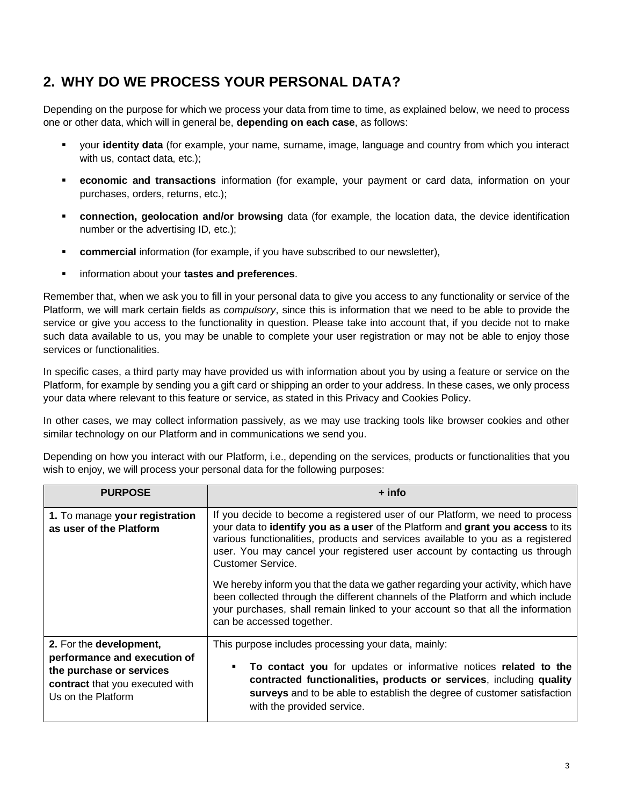### <span id="page-2-0"></span>**2. WHY DO WE PROCESS YOUR PERSONAL DATA?**

Depending on the purpose for which we process your data from time to time, as explained below, we need to process one or other data, which will in general be, **depending on each case**, as follows:

- your **identity data** (for example, your name, surname, image, language and country from which you interact with us, contact data, etc.):
- **ECONOMIC and transactions** information (for example, your payment or card data, information on your purchases, orders, returns, etc.);
- **connection, geolocation and/or browsing** data (for example, the location data, the device identification number or the advertising ID, etc.);
- **EXECOMMERCIAL INFORMATION (for example, if you have subscribed to our newsletter),**
- information about your **tastes and preferences**.

Remember that, when we ask you to fill in your personal data to give you access to any functionality or service of the Platform, we will mark certain fields as *compulsory*, since this is information that we need to be able to provide the service or give you access to the functionality in question. Please take into account that, if you decide not to make such data available to us, you may be unable to complete your user registration or may not be able to enjoy those services or functionalities.

In specific cases, a third party may have provided us with information about you by using a feature or service on the Platform, for example by sending you a gift card or shipping an order to your address. In these cases, we only process your data where relevant to this feature or service, as stated in this Privacy and Cookies Policy.

In other cases, we may collect information passively, as we may use tracking tools like browser cookies and other similar technology on our Platform and in communications we send you.

Depending on how you interact with our Platform, i.e., depending on the services, products or functionalities that you wish to enjoy, we will process your personal data for the following purposes:

| <b>PURPOSE</b>                                                                                                                               | + info                                                                                                                                                                                                                                                                                                                                                 |
|----------------------------------------------------------------------------------------------------------------------------------------------|--------------------------------------------------------------------------------------------------------------------------------------------------------------------------------------------------------------------------------------------------------------------------------------------------------------------------------------------------------|
| 1. To manage your registration<br>as user of the Platform                                                                                    | If you decide to become a registered user of our Platform, we need to process<br>your data to identify you as a user of the Platform and grant you access to its<br>various functionalities, products and services available to you as a registered<br>user. You may cancel your registered user account by contacting us through<br>Customer Service. |
|                                                                                                                                              | We hereby inform you that the data we gather regarding your activity, which have<br>been collected through the different channels of the Platform and which include<br>your purchases, shall remain linked to your account so that all the information<br>can be accessed together.                                                                    |
| 2. For the development,<br>performance and execution of<br>the purchase or services<br>contract that you executed with<br>Us on the Platform | This purpose includes processing your data, mainly:<br>To contact you for updates or informative notices related to the<br>п<br>contracted functionalities, products or services, including quality<br>surveys and to be able to establish the degree of customer satisfaction<br>with the provided service.                                           |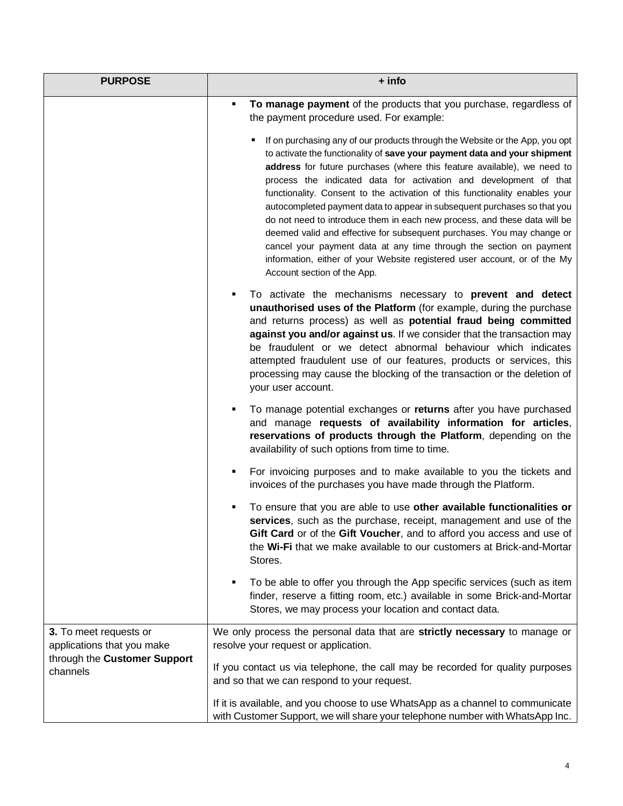| <b>PURPOSE</b>                                                                                   | + info                                                                                                                                                                                                                                                                                                                                                                                                                                                                                                                                                                                                                                                                                                                                                                                                         |
|--------------------------------------------------------------------------------------------------|----------------------------------------------------------------------------------------------------------------------------------------------------------------------------------------------------------------------------------------------------------------------------------------------------------------------------------------------------------------------------------------------------------------------------------------------------------------------------------------------------------------------------------------------------------------------------------------------------------------------------------------------------------------------------------------------------------------------------------------------------------------------------------------------------------------|
|                                                                                                  | To manage payment of the products that you purchase, regardless of<br>Ξ<br>the payment procedure used. For example:                                                                                                                                                                                                                                                                                                                                                                                                                                                                                                                                                                                                                                                                                            |
|                                                                                                  | If on purchasing any of our products through the Website or the App, you opt<br>to activate the functionality of save your payment data and your shipment<br>address for future purchases (where this feature available), we need to<br>process the indicated data for activation and development of that<br>functionality. Consent to the activation of this functionality enables your<br>autocompleted payment data to appear in subsequent purchases so that you<br>do not need to introduce them in each new process, and these data will be<br>deemed valid and effective for subsequent purchases. You may change or<br>cancel your payment data at any time through the section on payment<br>information, either of your Website registered user account, or of the My<br>Account section of the App. |
|                                                                                                  | To activate the mechanisms necessary to prevent and detect<br>Е<br>unauthorised uses of the Platform (for example, during the purchase<br>and returns process) as well as potential fraud being committed<br>against you and/or against us. If we consider that the transaction may<br>be fraudulent or we detect abnormal behaviour which indicates<br>attempted fraudulent use of our features, products or services, this<br>processing may cause the blocking of the transaction or the deletion of<br>your user account.                                                                                                                                                                                                                                                                                  |
|                                                                                                  | To manage potential exchanges or returns after you have purchased<br>Е<br>and manage requests of availability information for articles,<br>reservations of products through the Platform, depending on the<br>availability of such options from time to time.                                                                                                                                                                                                                                                                                                                                                                                                                                                                                                                                                  |
|                                                                                                  | For invoicing purposes and to make available to you the tickets and<br>Е<br>invoices of the purchases you have made through the Platform.                                                                                                                                                                                                                                                                                                                                                                                                                                                                                                                                                                                                                                                                      |
|                                                                                                  | To ensure that you are able to use other available functionalities or<br>services, such as the purchase, receipt, management and use of the<br>Gift Card or of the Gift Voucher, and to afford you access and use of<br>the Wi-Fi that we make available to our customers at Brick-and-Mortar<br>Stores.                                                                                                                                                                                                                                                                                                                                                                                                                                                                                                       |
|                                                                                                  | To be able to offer you through the App specific services (such as item<br>Е<br>finder, reserve a fitting room, etc.) available in some Brick-and-Mortar<br>Stores, we may process your location and contact data.                                                                                                                                                                                                                                                                                                                                                                                                                                                                                                                                                                                             |
| 3. To meet requests or<br>applications that you make<br>through the Customer Support<br>channels | We only process the personal data that are strictly necessary to manage or<br>resolve your request or application.                                                                                                                                                                                                                                                                                                                                                                                                                                                                                                                                                                                                                                                                                             |
|                                                                                                  | If you contact us via telephone, the call may be recorded for quality purposes<br>and so that we can respond to your request.                                                                                                                                                                                                                                                                                                                                                                                                                                                                                                                                                                                                                                                                                  |
|                                                                                                  | If it is available, and you choose to use WhatsApp as a channel to communicate<br>with Customer Support, we will share your telephone number with WhatsApp Inc.                                                                                                                                                                                                                                                                                                                                                                                                                                                                                                                                                                                                                                                |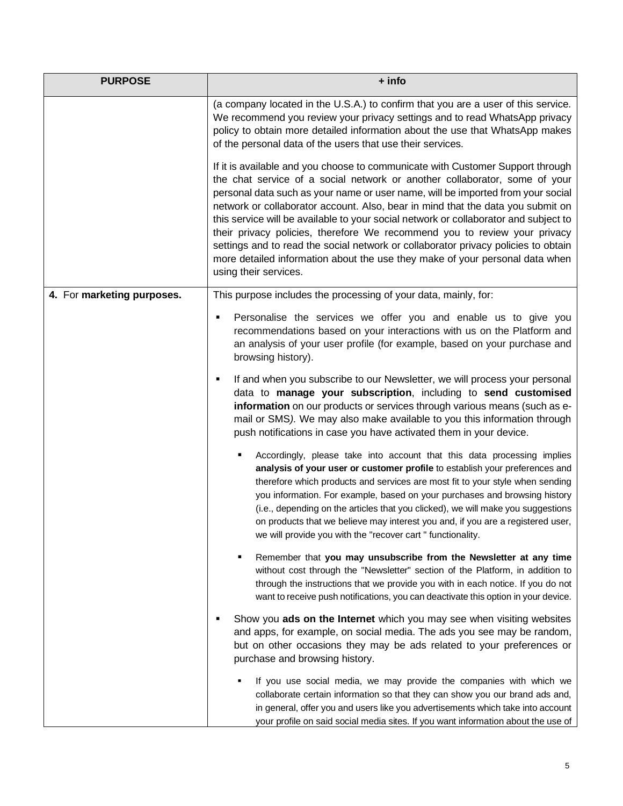| <b>PURPOSE</b>             | + info                                                                                                                                                                                                                                                                                                                                                                                                                                                                                                                                                                                                                                                                                                 |
|----------------------------|--------------------------------------------------------------------------------------------------------------------------------------------------------------------------------------------------------------------------------------------------------------------------------------------------------------------------------------------------------------------------------------------------------------------------------------------------------------------------------------------------------------------------------------------------------------------------------------------------------------------------------------------------------------------------------------------------------|
|                            | (a company located in the U.S.A.) to confirm that you are a user of this service.<br>We recommend you review your privacy settings and to read WhatsApp privacy<br>policy to obtain more detailed information about the use that WhatsApp makes<br>of the personal data of the users that use their services.                                                                                                                                                                                                                                                                                                                                                                                          |
|                            | If it is available and you choose to communicate with Customer Support through<br>the chat service of a social network or another collaborator, some of your<br>personal data such as your name or user name, will be imported from your social<br>network or collaborator account. Also, bear in mind that the data you submit on<br>this service will be available to your social network or collaborator and subject to<br>their privacy policies, therefore We recommend you to review your privacy<br>settings and to read the social network or collaborator privacy policies to obtain<br>more detailed information about the use they make of your personal data when<br>using their services. |
| 4. For marketing purposes. | This purpose includes the processing of your data, mainly, for:                                                                                                                                                                                                                                                                                                                                                                                                                                                                                                                                                                                                                                        |
|                            | Personalise the services we offer you and enable us to give you<br>٠<br>recommendations based on your interactions with us on the Platform and<br>an analysis of your user profile (for example, based on your purchase and<br>browsing history).                                                                                                                                                                                                                                                                                                                                                                                                                                                      |
|                            | If and when you subscribe to our Newsletter, we will process your personal<br>٠<br>data to manage your subscription, including to send customised<br>information on our products or services through various means (such as e-<br>mail or SMS). We may also make available to you this information through<br>push notifications in case you have activated them in your device.                                                                                                                                                                                                                                                                                                                       |
|                            | Accordingly, please take into account that this data processing implies<br>analysis of your user or customer profile to establish your preferences and<br>therefore which products and services are most fit to your style when sending<br>you information. For example, based on your purchases and browsing history<br>(i.e., depending on the articles that you clicked), we will make you suggestions<br>on products that we believe may interest you and, if you are a registered user,<br>we will provide you with the "recover cart" functionality.                                                                                                                                             |
|                            | Remember that you may unsubscribe from the Newsletter at any time<br>٠<br>without cost through the "Newsletter" section of the Platform, in addition to<br>through the instructions that we provide you with in each notice. If you do not<br>want to receive push notifications, you can deactivate this option in your device.                                                                                                                                                                                                                                                                                                                                                                       |
|                            | Show you ads on the Internet which you may see when visiting websites<br>٠<br>and apps, for example, on social media. The ads you see may be random,<br>but on other occasions they may be ads related to your preferences or<br>purchase and browsing history.                                                                                                                                                                                                                                                                                                                                                                                                                                        |
|                            | If you use social media, we may provide the companies with which we<br>٠<br>collaborate certain information so that they can show you our brand ads and,<br>in general, offer you and users like you advertisements which take into account<br>your profile on said social media sites. If you want information about the use of                                                                                                                                                                                                                                                                                                                                                                       |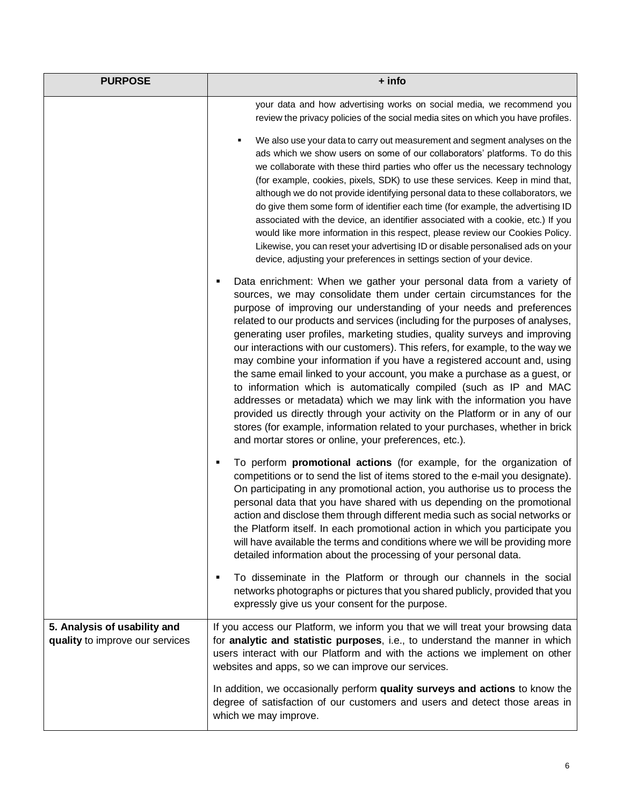| <b>PURPOSE</b>                                                  | + info                                                                                                                                                                                                                                                                                                                                                                                                                                                                                                                                                                                                                                                                                                                                                                                                                                                                                                                                                                                                     |
|-----------------------------------------------------------------|------------------------------------------------------------------------------------------------------------------------------------------------------------------------------------------------------------------------------------------------------------------------------------------------------------------------------------------------------------------------------------------------------------------------------------------------------------------------------------------------------------------------------------------------------------------------------------------------------------------------------------------------------------------------------------------------------------------------------------------------------------------------------------------------------------------------------------------------------------------------------------------------------------------------------------------------------------------------------------------------------------|
|                                                                 | your data and how advertising works on social media, we recommend you<br>review the privacy policies of the social media sites on which you have profiles.                                                                                                                                                                                                                                                                                                                                                                                                                                                                                                                                                                                                                                                                                                                                                                                                                                                 |
|                                                                 | We also use your data to carry out measurement and segment analyses on the<br>ads which we show users on some of our collaborators' platforms. To do this<br>we collaborate with these third parties who offer us the necessary technology<br>(for example, cookies, pixels, SDK) to use these services. Keep in mind that,<br>although we do not provide identifying personal data to these collaborators, we<br>do give them some form of identifier each time (for example, the advertising ID<br>associated with the device, an identifier associated with a cookie, etc.) If you<br>would like more information in this respect, please review our Cookies Policy.<br>Likewise, you can reset your advertising ID or disable personalised ads on your<br>device, adjusting your preferences in settings section of your device.                                                                                                                                                                       |
|                                                                 | Data enrichment: When we gather your personal data from a variety of<br>п<br>sources, we may consolidate them under certain circumstances for the<br>purpose of improving our understanding of your needs and preferences<br>related to our products and services (including for the purposes of analyses,<br>generating user profiles, marketing studies, quality surveys and improving<br>our interactions with our customers). This refers, for example, to the way we<br>may combine your information if you have a registered account and, using<br>the same email linked to your account, you make a purchase as a guest, or<br>to information which is automatically compiled (such as IP and MAC<br>addresses or metadata) which we may link with the information you have<br>provided us directly through your activity on the Platform or in any of our<br>stores (for example, information related to your purchases, whether in brick<br>and mortar stores or online, your preferences, etc.). |
|                                                                 | To perform promotional actions (for example, for the organization of<br>٠<br>competitions or to send the list of items stored to the e-mail you designate).<br>On participating in any promotional action, you authorise us to process the<br>personal data that you have shared with us depending on the promotional<br>action and disclose them through different media such as social networks or<br>the Platform itself. In each promotional action in which you participate you<br>will have available the terms and conditions where we will be providing more<br>detailed information about the processing of your personal data.                                                                                                                                                                                                                                                                                                                                                                   |
|                                                                 | To disseminate in the Platform or through our channels in the social<br>٠<br>networks photographs or pictures that you shared publicly, provided that you<br>expressly give us your consent for the purpose.                                                                                                                                                                                                                                                                                                                                                                                                                                                                                                                                                                                                                                                                                                                                                                                               |
| 5. Analysis of usability and<br>quality to improve our services | If you access our Platform, we inform you that we will treat your browsing data<br>for analytic and statistic purposes, i.e., to understand the manner in which<br>users interact with our Platform and with the actions we implement on other<br>websites and apps, so we can improve our services.                                                                                                                                                                                                                                                                                                                                                                                                                                                                                                                                                                                                                                                                                                       |
|                                                                 | In addition, we occasionally perform quality surveys and actions to know the<br>degree of satisfaction of our customers and users and detect those areas in<br>which we may improve.                                                                                                                                                                                                                                                                                                                                                                                                                                                                                                                                                                                                                                                                                                                                                                                                                       |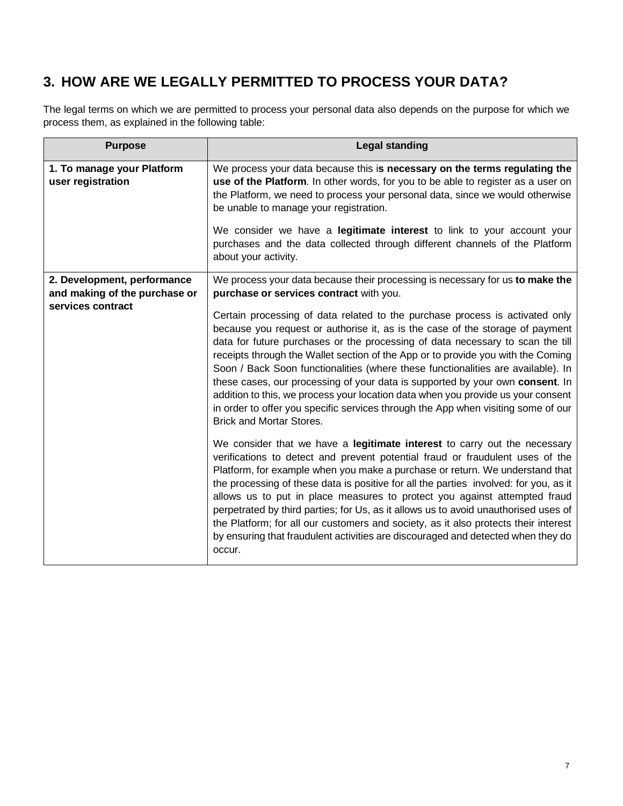### <span id="page-6-0"></span>**3. HOW ARE WE LEGALLY PERMITTED TO PROCESS YOUR DATA?**

The legal terms on which we are permitted to process your personal data also depends on the purpose for which we process them, as explained in the following table:

| <b>Purpose</b>                                                                    | <b>Legal standing</b>                                                                                                                                                                                                                                                                                                                                                                                                                                                                                                                                                                                                                                                                                                |
|-----------------------------------------------------------------------------------|----------------------------------------------------------------------------------------------------------------------------------------------------------------------------------------------------------------------------------------------------------------------------------------------------------------------------------------------------------------------------------------------------------------------------------------------------------------------------------------------------------------------------------------------------------------------------------------------------------------------------------------------------------------------------------------------------------------------|
| 1. To manage your Platform<br>user registration                                   | We process your data because this is necessary on the terms regulating the<br>use of the Platform. In other words, for you to be able to register as a user on<br>the Platform, we need to process your personal data, since we would otherwise<br>be unable to manage your registration.<br>We consider we have a legitimate interest to link to your account your<br>purchases and the data collected through different channels of the Platform<br>about your activity.                                                                                                                                                                                                                                           |
| 2. Development, performance<br>and making of the purchase or<br>services contract | We process your data because their processing is necessary for us to make the<br>purchase or services contract with you.                                                                                                                                                                                                                                                                                                                                                                                                                                                                                                                                                                                             |
|                                                                                   | Certain processing of data related to the purchase process is activated only<br>because you request or authorise it, as is the case of the storage of payment<br>data for future purchases or the processing of data necessary to scan the till<br>receipts through the Wallet section of the App or to provide you with the Coming<br>Soon / Back Soon functionalities (where these functionalities are available). In<br>these cases, our processing of your data is supported by your own consent. In<br>addition to this, we process your location data when you provide us your consent<br>in order to offer you specific services through the App when visiting some of our<br><b>Brick and Mortar Stores.</b> |
|                                                                                   | We consider that we have a legitimate interest to carry out the necessary<br>verifications to detect and prevent potential fraud or fraudulent uses of the<br>Platform, for example when you make a purchase or return. We understand that<br>the processing of these data is positive for all the parties involved: for you, as it<br>allows us to put in place measures to protect you against attempted fraud<br>perpetrated by third parties; for Us, as it allows us to avoid unauthorised uses of<br>the Platform; for all our customers and society, as it also protects their interest<br>by ensuring that fraudulent activities are discouraged and detected when they do<br>occur.                         |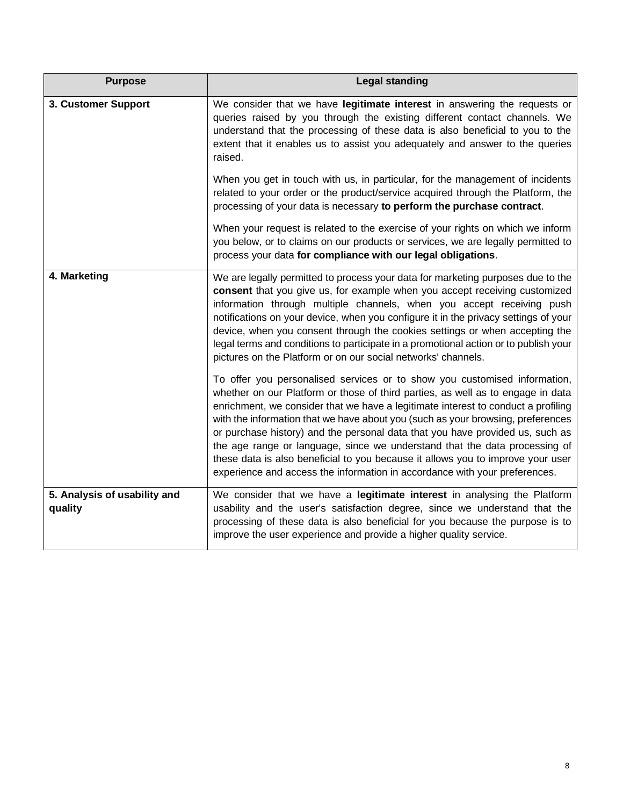| <b>Purpose</b>                          | <b>Legal standing</b>                                                                                                                                                                                                                                                                                                                                                                                                                                                                                                                                                                                                                                                |
|-----------------------------------------|----------------------------------------------------------------------------------------------------------------------------------------------------------------------------------------------------------------------------------------------------------------------------------------------------------------------------------------------------------------------------------------------------------------------------------------------------------------------------------------------------------------------------------------------------------------------------------------------------------------------------------------------------------------------|
| 3. Customer Support                     | We consider that we have legitimate interest in answering the requests or<br>queries raised by you through the existing different contact channels. We<br>understand that the processing of these data is also beneficial to you to the<br>extent that it enables us to assist you adequately and answer to the queries<br>raised.                                                                                                                                                                                                                                                                                                                                   |
|                                         | When you get in touch with us, in particular, for the management of incidents<br>related to your order or the product/service acquired through the Platform, the<br>processing of your data is necessary to perform the purchase contract.                                                                                                                                                                                                                                                                                                                                                                                                                           |
|                                         | When your request is related to the exercise of your rights on which we inform<br>you below, or to claims on our products or services, we are legally permitted to<br>process your data for compliance with our legal obligations.                                                                                                                                                                                                                                                                                                                                                                                                                                   |
| 4. Marketing                            | We are legally permitted to process your data for marketing purposes due to the<br>consent that you give us, for example when you accept receiving customized<br>information through multiple channels, when you accept receiving push<br>notifications on your device, when you configure it in the privacy settings of your<br>device, when you consent through the cookies settings or when accepting the<br>legal terms and conditions to participate in a promotional action or to publish your<br>pictures on the Platform or on our social networks' channels.                                                                                                |
|                                         | To offer you personalised services or to show you customised information,<br>whether on our Platform or those of third parties, as well as to engage in data<br>enrichment, we consider that we have a legitimate interest to conduct a profiling<br>with the information that we have about you (such as your browsing, preferences<br>or purchase history) and the personal data that you have provided us, such as<br>the age range or language, since we understand that the data processing of<br>these data is also beneficial to you because it allows you to improve your user<br>experience and access the information in accordance with your preferences. |
| 5. Analysis of usability and<br>quality | We consider that we have a legitimate interest in analysing the Platform<br>usability and the user's satisfaction degree, since we understand that the<br>processing of these data is also beneficial for you because the purpose is to<br>improve the user experience and provide a higher quality service.                                                                                                                                                                                                                                                                                                                                                         |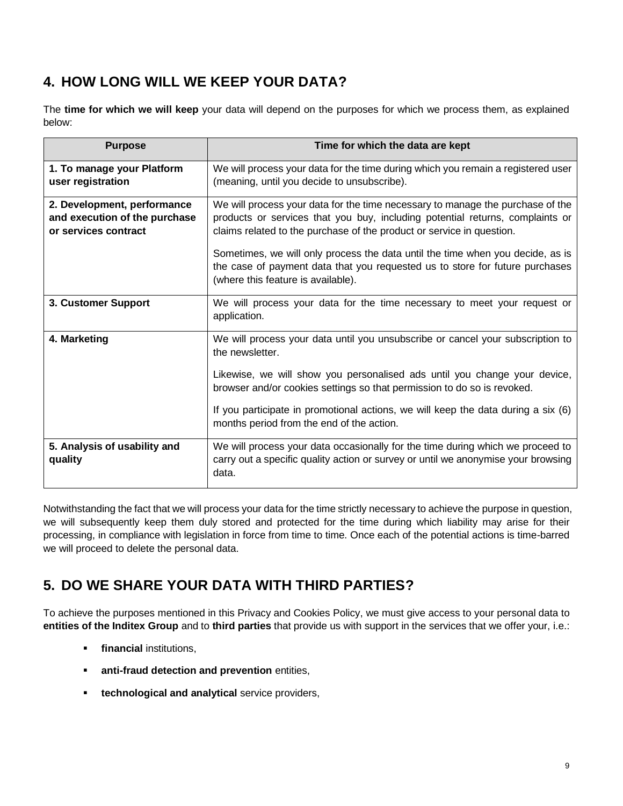### **4. HOW LONG WILL WE KEEP YOUR DATA?**

The **time for which we will keep** your data will depend on the purposes for which we process them, as explained below:

| <b>Purpose</b>                                                                       | Time for which the data are kept                                                                                                                                                                                                                                                                                                                                                                                                                 |
|--------------------------------------------------------------------------------------|--------------------------------------------------------------------------------------------------------------------------------------------------------------------------------------------------------------------------------------------------------------------------------------------------------------------------------------------------------------------------------------------------------------------------------------------------|
| 1. To manage your Platform<br>user registration                                      | We will process your data for the time during which you remain a registered user<br>(meaning, until you decide to unsubscribe).                                                                                                                                                                                                                                                                                                                  |
| 2. Development, performance<br>and execution of the purchase<br>or services contract | We will process your data for the time necessary to manage the purchase of the<br>products or services that you buy, including potential returns, complaints or<br>claims related to the purchase of the product or service in question.<br>Sometimes, we will only process the data until the time when you decide, as is<br>the case of payment data that you requested us to store for future purchases<br>(where this feature is available). |
| 3. Customer Support                                                                  | We will process your data for the time necessary to meet your request or<br>application.                                                                                                                                                                                                                                                                                                                                                         |
| 4. Marketing                                                                         | We will process your data until you unsubscribe or cancel your subscription to<br>the newsletter.<br>Likewise, we will show you personalised ads until you change your device,<br>browser and/or cookies settings so that permission to do so is revoked.<br>If you participate in promotional actions, we will keep the data during a six (6)<br>months period from the end of the action.                                                      |
| 5. Analysis of usability and<br>quality                                              | We will process your data occasionally for the time during which we proceed to<br>carry out a specific quality action or survey or until we anonymise your browsing<br>data.                                                                                                                                                                                                                                                                     |

Notwithstanding the fact that we will process your data for the time strictly necessary to achieve the purpose in question, we will subsequently keep them duly stored and protected for the time during which liability may arise for their processing, in compliance with legislation in force from time to time. Once each of the potential actions is time-barred we will proceed to delete the personal data.

### <span id="page-8-0"></span>**5. DO WE SHARE YOUR DATA WITH THIRD PARTIES?**

To achieve the purposes mentioned in this Privacy and Cookies Policy, we must give access to your personal data to **entities of the Inditex Group** and to **third parties** that provide us with support in the services that we offer your, i.e.:

- *Financial institutions,*
- **EXECTE:** anti-fraud detection and prevention entities,
- **<u>Exercises</u>** technological and analytical service providers,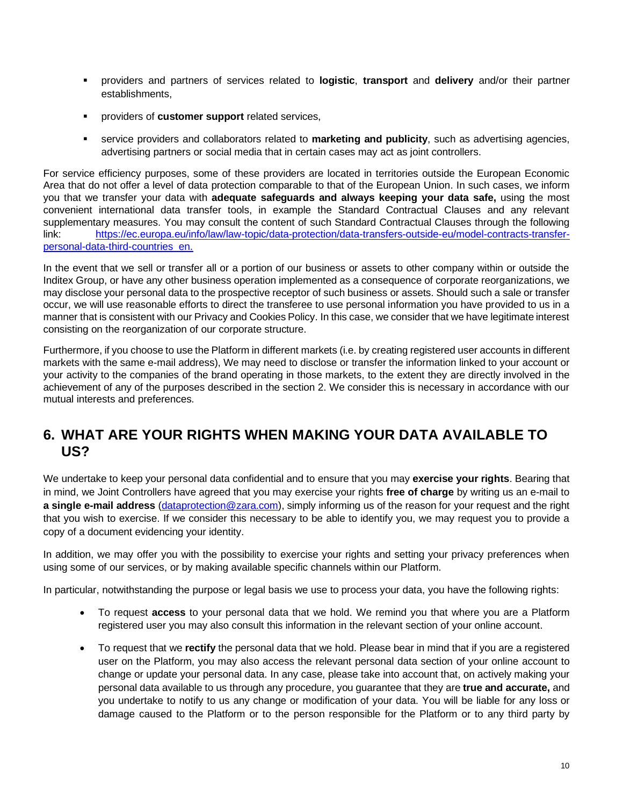- providers and partners of services related to **logistic**, **transport** and **delivery** and/or their partner establishments,
- providers of **customer support** related services,
- service providers and collaborators related to **marketing and publicity**, such as advertising agencies, advertising partners or social media that in certain cases may act as joint controllers.

For service efficiency purposes, some of these providers are located in territories outside the European Economic Area that do not offer a level of data protection comparable to that of the European Union. In such cases, we inform you that we transfer your data with **adequate safeguards and always keeping your data safe,** using the most convenient international data transfer tools, in example the Standard Contractual Clauses and any relevant supplementary measures. You may consult the content of such Standard Contractual Clauses through the following link: [https://ec.europa.eu/info/law/law-topic/data-protection/data-transfers-outside-eu/model-contracts-transfer](https://ec.europa.eu/info/law/law-topic/data-protection/data-transfers-outside-eu/model-contracts-transfer-personal-data-third-countries_en)[personal-data-third-countries\\_en.](https://ec.europa.eu/info/law/law-topic/data-protection/data-transfers-outside-eu/model-contracts-transfer-personal-data-third-countries_en)

In the event that we sell or transfer all or a portion of our business or assets to other company within or outside the Inditex Group, or have any other business operation implemented as a consequence of corporate reorganizations, we may disclose your personal data to the prospective receptor of such business or assets. Should such a sale or transfer occur, we will use reasonable efforts to direct the transferee to use personal information you have provided to us in a manner that is consistent with our Privacy and Cookies Policy. In this case, we consider that we have legitimate interest consisting on the reorganization of our corporate structure.

Furthermore, if you choose to use the Platform in different markets (i.e. by creating registered user accounts in different markets with the same e-mail address), We may need to disclose or transfer the information linked to your account or your activity to the companies of the brand operating in those markets, to the extent they are directly involved in the achievement of any of the purposes described in the section 2. We consider this is necessary in accordance with our mutual interests and preferences.

#### <span id="page-9-0"></span>**6. WHAT ARE YOUR RIGHTS WHEN MAKING YOUR DATA AVAILABLE TO US?**

We undertake to keep your personal data confidential and to ensure that you may **exercise your rights**. Bearing that in mind, we Joint Controllers have agreed that you may exercise your rights **free of charge** by writing us an e-mail to **a single e-mail address** [\(dataprotection@zara.com\)](mailto:dataprotection@zara.com), simply informing us of the reason for your request and the right that you wish to exercise. If we consider this necessary to be able to identify you, we may request you to provide a copy of a document evidencing your identity.

In addition, we may offer you with the possibility to exercise your rights and setting your privacy preferences when using some of our services, or by making available specific channels within our Platform.

In particular, notwithstanding the purpose or legal basis we use to process your data, you have the following rights:

- To request **access** to your personal data that we hold. We remind you that where you are a Platform registered user you may also consult this information in the relevant section of your online account.
- To request that we **rectify** the personal data that we hold. Please bear in mind that if you are a registered user on the Platform, you may also access the relevant personal data section of your online account to change or update your personal data. In any case, please take into account that, on actively making your personal data available to us through any procedure, you guarantee that they are **true and accurate,** and you undertake to notify to us any change or modification of your data. You will be liable for any loss or damage caused to the Platform or to the person responsible for the Platform or to any third party by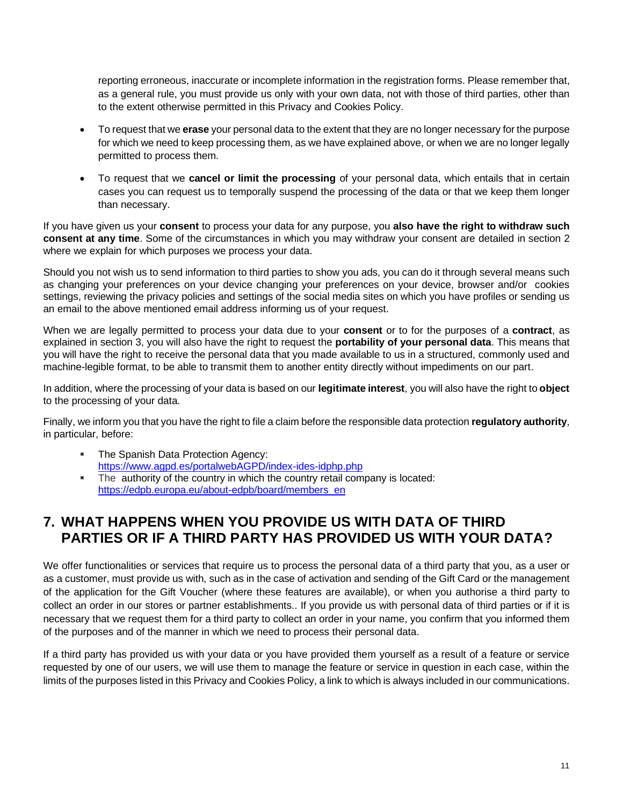reporting erroneous, inaccurate or incomplete information in the registration forms. Please remember that, as a general rule, you must provide us only with your own data, not with those of third parties, other than to the extent otherwise permitted in this Privacy and Cookies Policy.

- To request that we **erase** your personal data to the extent that they are no longer necessary for the purpose for which we need to keep processing them, as we have explained above, or when we are no longer legally permitted to process them.
- To request that we **cancel or limit the processing** of your personal data, which entails that in certain cases you can request us to temporally suspend the processing of the data or that we keep them longer than necessary.

If you have given us your **consent** to process your data for any purpose, you **also have the right to withdraw such consent at any time**. Some of the circumstances in which you may withdraw your consent are detailed in section 2 where we explain for which purposes we process your data.

Should you not wish us to send information to third parties to show you ads, you can do it through several means such as changing your preferences on your device changing your preferences on your device, browser and/or cookies settings, reviewing the privacy policies and settings of the social media sites on which you have profiles or sending us an email to the above mentioned email address informing us of your request.

When we are legally permitted to process your data due to your **consent** or to for the purposes of a **contract**, as explained in section 3, you will also have the right to request the **portability of your personal data**. This means that you will have the right to receive the personal data that you made available to us in a structured, commonly used and machine-legible format, to be able to transmit them to another entity directly without impediments on our part.

In addition, where the processing of your data is based on our **legitimate interest**, you will also have the right to **object** to the processing of your data.

Finally, we inform you that you have the right to file a claim before the responsible data protection **regulatory authority**, in particular, before:

- The Spanish Data Protection Agency: <https://www.agpd.es/portalwebAGPD/index-ides-idphp.php>
- The authority of the country in which the country retail company is located: [https://edpb.europa.eu/about-edpb/board/members\\_en](https://edpb.europa.eu/about-edpb/board/members_en)

### **7. WHAT HAPPENS WHEN YOU PROVIDE US WITH DATA OF THIRD PARTIES OR IF A THIRD PARTY HAS PROVIDED US WITH YOUR DATA?**

We offer functionalities or services that require us to process the personal data of a third party that you, as a user or as a customer, must provide us with, such as in the case of activation and sending of the Gift Card or the management of the application for the Gift Voucher (where these features are available), or when you authorise a third party to collect an order in our stores or partner establishments.. If you provide us with personal data of third parties or if it is necessary that we request them for a third party to collect an order in your name, you confirm that you informed them of the purposes and of the manner in which we need to process their personal data.

If a third party has provided us with your data or you have provided them yourself as a result of a feature or service requested by one of our users, we will use them to manage the feature or service in question in each case, within the limits of the purposes listed in this Privacy and Cookies Policy, a link to which is always included in our communications.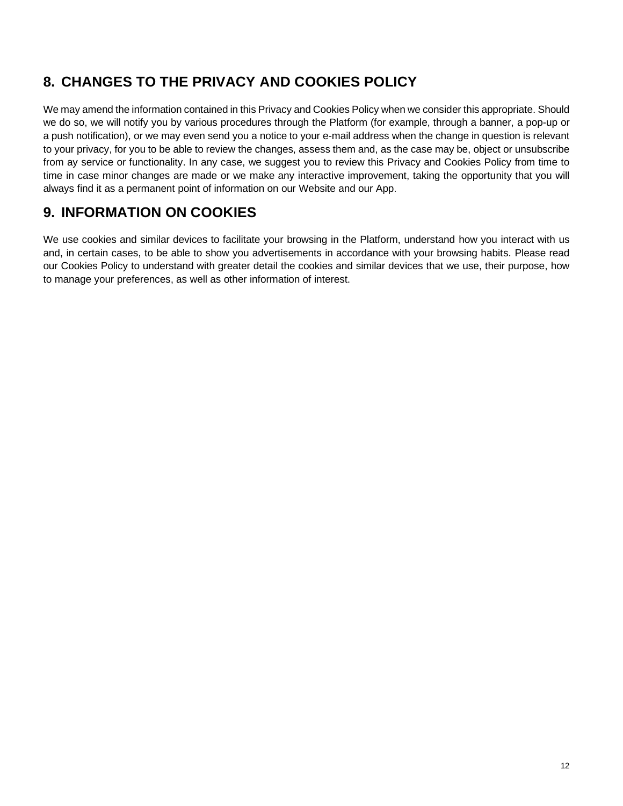### **8. CHANGES TO THE PRIVACY AND COOKIES POLICY**

We may amend the information contained in this Privacy and Cookies Policy when we consider this appropriate. Should we do so, we will notify you by various procedures through the Platform (for example, through a banner, a pop-up or a push notification), or we may even send you a notice to your e-mail address when the change in question is relevant to your privacy, for you to be able to review the changes, assess them and, as the case may be, object or unsubscribe from ay service or functionality. In any case, we suggest you to review this Privacy and Cookies Policy from time to time in case minor changes are made or we make any interactive improvement, taking the opportunity that you will always find it as a permanent point of information on our Website and our App.

### **9. INFORMATION ON COOKIES**

We use cookies and similar devices to facilitate your browsing in the Platform, understand how you interact with us and, in certain cases, to be able to show you advertisements in accordance with your browsing habits. Please read our Cookies Policy to understand with greater detail the cookies and similar devices that we use, their purpose, how to manage your preferences, as well as other information of interest.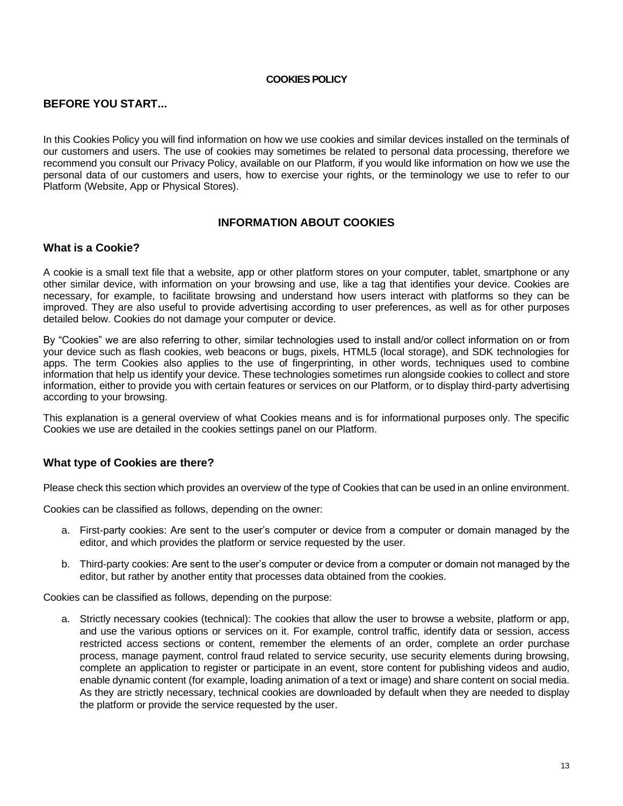#### **COOKIES POLICY**

#### **BEFORE YOU START...**

In this Cookies Policy you will find information on how we use cookies and similar devices installed on the terminals of our customers and users. The use of cookies may sometimes be related to personal data processing, therefore we recommend you consult our Privacy Policy, available on our Platform, if you would like information on how we use the personal data of our customers and users, how to exercise your rights, or the terminology we use to refer to our Platform (Website, App or Physical Stores).

#### **INFORMATION ABOUT COOKIES**

#### **What is a Cookie?**

A cookie is a small text file that a website, app or other platform stores on your computer, tablet, smartphone or any other similar device, with information on your browsing and use, like a tag that identifies your device. Cookies are necessary, for example, to facilitate browsing and understand how users interact with platforms so they can be improved. They are also useful to provide advertising according to user preferences, as well as for other purposes detailed below. Cookies do not damage your computer or device.

By "Cookies" we are also referring to other, similar technologies used to install and/or collect information on or from your device such as flash cookies, web beacons or bugs, pixels, HTML5 (local storage), and SDK technologies for apps. The term Cookies also applies to the use of fingerprinting, in other words, techniques used to combine information that help us identify your device. These technologies sometimes run alongside cookies to collect and store information, either to provide you with certain features or services on our Platform, or to display third-party advertising according to your browsing.

This explanation is a general overview of what Cookies means and is for informational purposes only. The specific Cookies we use are detailed in the cookies settings panel on our Platform.

#### **What type of Cookies are there?**

Please check this section which provides an overview of the type of Cookies that can be used in an online environment.

Cookies can be classified as follows, depending on the owner:

- a. First-party cookies: Are sent to the user's computer or device from a computer or domain managed by the editor, and which provides the platform or service requested by the user.
- b. Third-party cookies: Are sent to the user's computer or device from a computer or domain not managed by the editor, but rather by another entity that processes data obtained from the cookies.

Cookies can be classified as follows, depending on the purpose:

a. Strictly necessary cookies (technical): The cookies that allow the user to browse a website, platform or app, and use the various options or services on it. For example, control traffic, identify data or session, access restricted access sections or content, remember the elements of an order, complete an order purchase process, manage payment, control fraud related to service security, use security elements during browsing, complete an application to register or participate in an event, store content for publishing videos and audio, enable dynamic content (for example, loading animation of a text or image) and share content on social media. As they are strictly necessary, technical cookies are downloaded by default when they are needed to display the platform or provide the service requested by the user.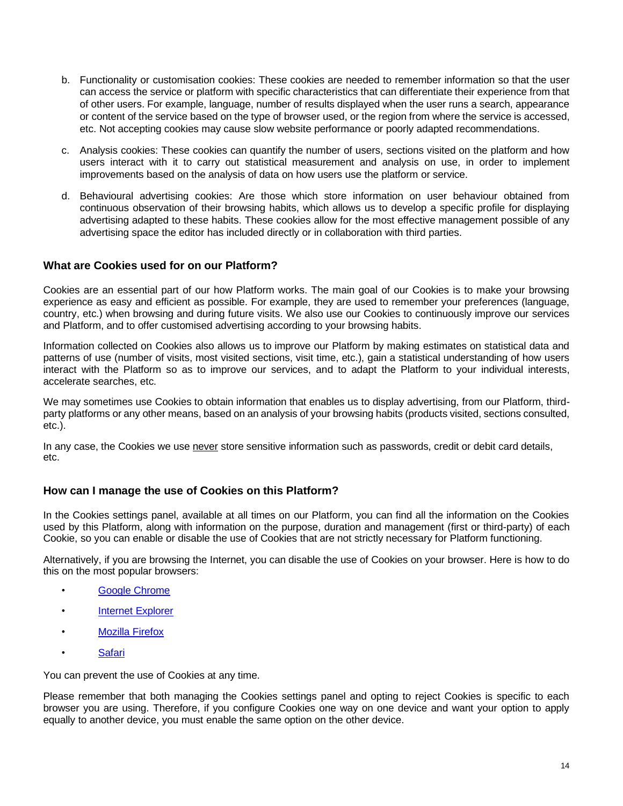- b. Functionality or customisation cookies: These cookies are needed to remember information so that the user can access the service or platform with specific characteristics that can differentiate their experience from that of other users. For example, language, number of results displayed when the user runs a search, appearance or content of the service based on the type of browser used, or the region from where the service is accessed, etc. Not accepting cookies may cause slow website performance or poorly adapted recommendations.
- c. Analysis cookies: These cookies can quantify the number of users, sections visited on the platform and how users interact with it to carry out statistical measurement and analysis on use, in order to implement improvements based on the analysis of data on how users use the platform or service.
- d. Behavioural advertising cookies: Are those which store information on user behaviour obtained from continuous observation of their browsing habits, which allows us to develop a specific profile for displaying advertising adapted to these habits. These cookies allow for the most effective management possible of any advertising space the editor has included directly or in collaboration with third parties.

#### **What are Cookies used for on our Platform?**

Cookies are an essential part of our how Platform works. The main goal of our Cookies is to make your browsing experience as easy and efficient as possible. For example, they are used to remember your preferences (language, country, etc.) when browsing and during future visits. We also use our Cookies to continuously improve our services and Platform, and to offer customised advertising according to your browsing habits.

Information collected on Cookies also allows us to improve our Platform by making estimates on statistical data and patterns of use (number of visits, most visited sections, visit time, etc.), gain a statistical understanding of how users interact with the Platform so as to improve our services, and to adapt the Platform to your individual interests, accelerate searches, etc.

We may sometimes use Cookies to obtain information that enables us to display advertising, from our Platform, thirdparty platforms or any other means, based on an analysis of your browsing habits (products visited, sections consulted, etc.).

In any case, the Cookies we use never store sensitive information such as passwords, credit or debit card details, etc.

#### **How can I manage the use of Cookies on this Platform?**

In the Cookies settings panel, available at all times on our Platform, you can find all the information on the Cookies used by this Platform, along with information on the purpose, duration and management (first or third-party) of each Cookie, so you can enable or disable the use of Cookies that are not strictly necessary for Platform functioning.

Alternatively, if you are browsing the Internet, you can disable the use of Cookies on your browser. Here is how to do this on the most popular browsers:

- [Google Chrome](http://support.google.com/chrome/bin/answer.py?hl=es&answer=95647)
- [Internet Explorer](https://support.microsoft.com/es-es/help/17442/windows-internet-explorer-delete-manage-cookies)
- [Mozilla Firefox](https://support.mozilla.org/es/kb/habilitar-y-deshabilitar-cookies-sitios-web-rastrear-preferencias)
- [Safari](https://support.apple.com/es-es/HT201265)

You can prevent the use of Cookies at any time.

Please remember that both managing the Cookies settings panel and opting to reject Cookies is specific to each browser you are using. Therefore, if you configure Cookies one way on one device and want your option to apply equally to another device, you must enable the same option on the other device.